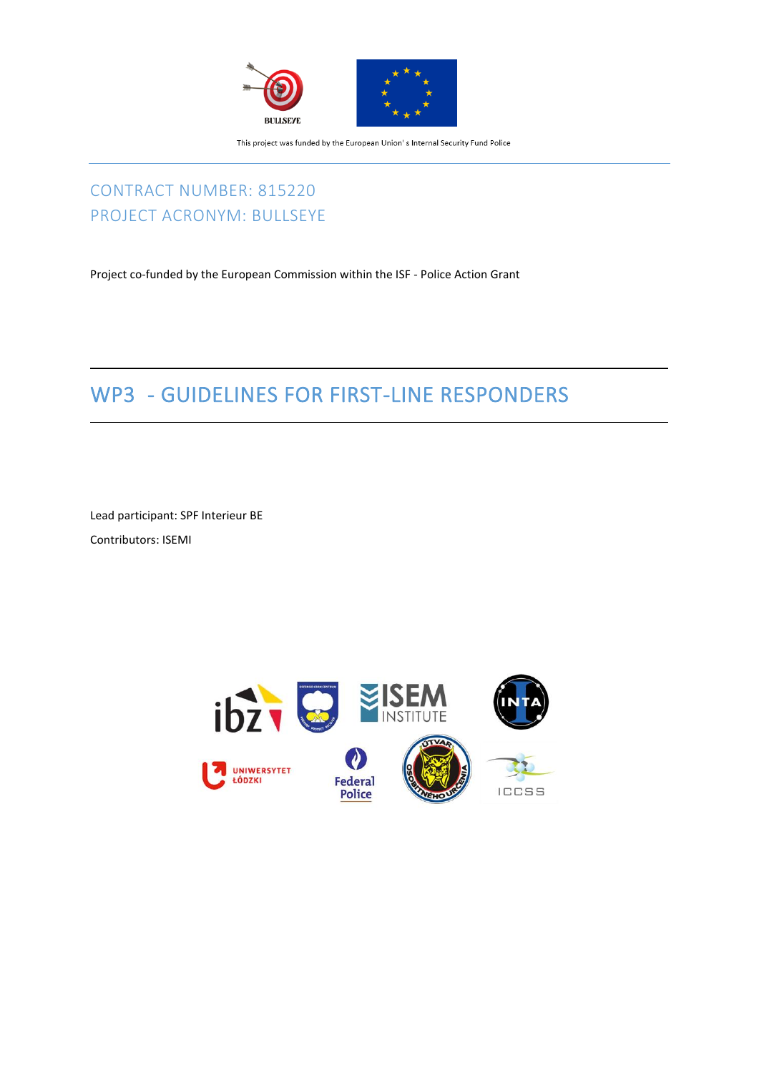

## CONTRACT NUMBER: 815220 PROJECT ACRONYM: BULLSEYE

Project co-funded by the European Commission within the ISF - Police Action Grant

# WP3 - GUIDELINES FOR FIRST-LINE RESPONDERS

Lead participant: SPF Interieur BE Contributors: ISEMI

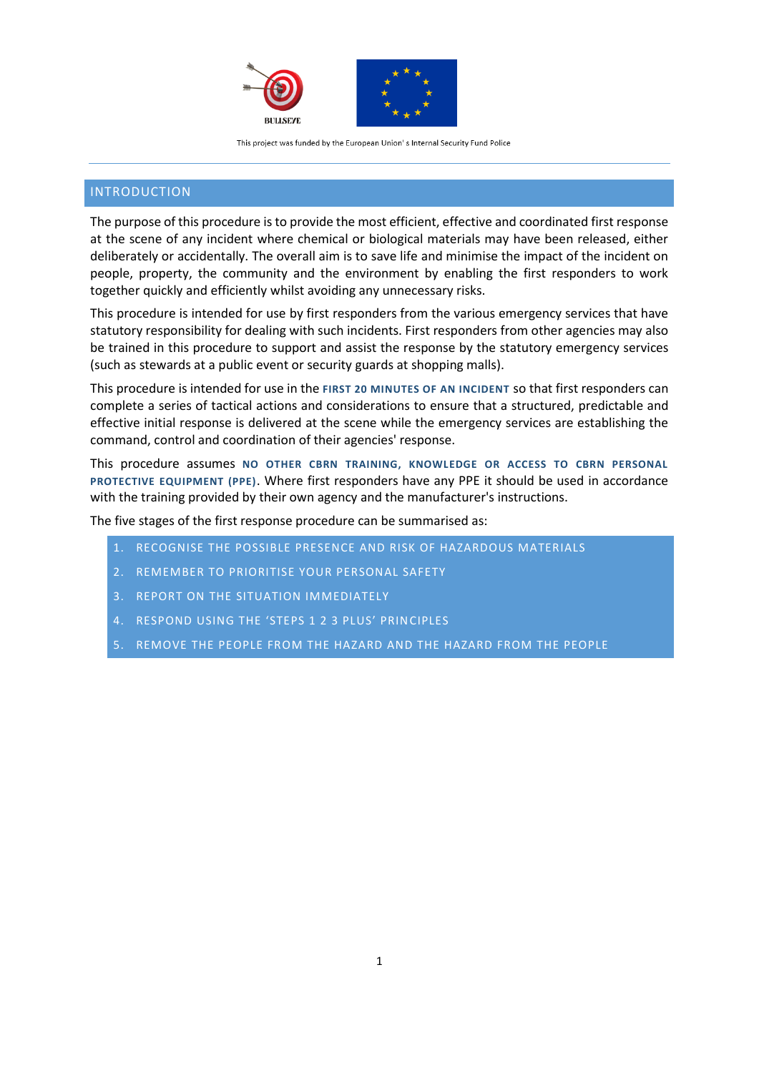

### INTRODUCTION

The purpose of this procedure is to provide the most efficient, effective and coordinated first response at the scene of any incident where chemical or biological materials may have been released, either deliberately or accidentally. The overall aim is to save life and minimise the impact of the incident on people, property, the community and the environment by enabling the first responders to work together quickly and efficiently whilst avoiding any unnecessary risks.

This procedure is intended for use by first responders from the various emergency services that have statutory responsibility for dealing with such incidents. First responders from other agencies may also be trained in this procedure to support and assist the response by the statutory emergency services (such as stewards at a public event or security guards at shopping malls).

This procedure is intended for use in the **FIRST 20 MINUTES OF AN INCIDENT** so that first responders can complete a series of tactical actions and considerations to ensure that a structured, predictable and effective initial response is delivered at the scene while the emergency services are establishing the command, control and coordination of their agencies' response.

This procedure assumes **NO OTHER CBRN TRAINING, KNOWLEDGE OR ACCESS TO CBRN PERSONAL PROTECTIVE EQUIPMENT (PPE)**. Where first responders have any PPE it should be used in accordance with the training provided by their own agency and the manufacturer's instructions.

The five stages of the first response procedure can be summarised as:

- 1. RECOGNISE THE POSSIBLE PRESENCE AND RISK OF HAZARDOUS MATERIALS
- 2. REMEMBER TO PRIORITISE YOUR PERSONAL SAFETY
- 3. REPORT ON THE SITUATION IMMEDIATELY
- 4. RESPOND USING THE 'STEPS 1 2 3 PLUS' PRINCIPLES
- 5. REMOVE THE PEOPLE FROM THE HAZARD AND THE HAZARD FROM THE PEOPLE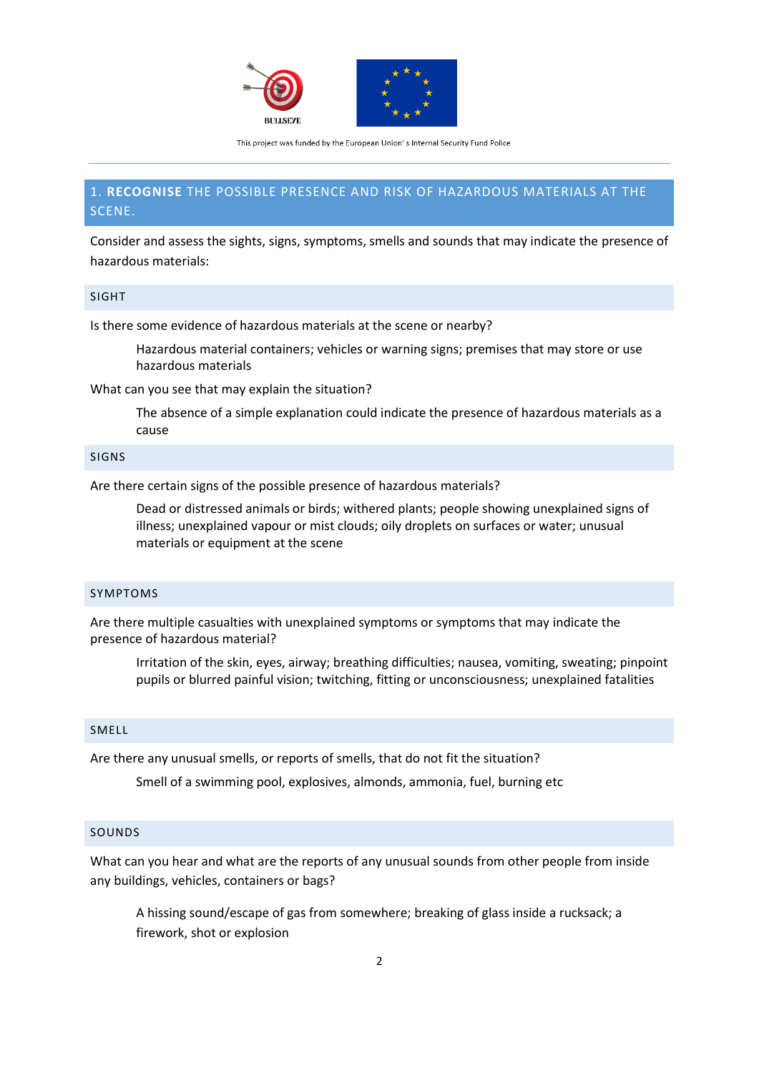

### 1. **RECOGNISE** THE POSSIBLE PRESENCE AND RISK OF HAZARDOUS MATERIALS AT THE SCENE.

Consider and assess the sights, signs, symptoms, smells and sounds that may indicate the presence of hazardous materials:

#### SIGHT

Is there some evidence of hazardous materials at the scene or nearby?

Hazardous material containers; vehicles or warning signs; premises that may store or use hazardous materials

What can you see that may explain the situation?

The absence of a simple explanation could indicate the presence of hazardous materials as a cause

### SIGNS

Are there certain signs of the possible presence of hazardous materials?

Dead or distressed animals or birds; withered plants; people showing unexplained signs of illness; unexplained vapour or mist clouds; oily droplets on surfaces or water; unusual materials or equipment at the scene

#### SYMPTOMS

Are there multiple casualties with unexplained symptoms or symptoms that may indicate the presence of hazardous material?

Irritation of the skin, eyes, airway; breathing difficulties; nausea, vomiting, sweating; pinpoint pupils or blurred painful vision; twitching, fitting or unconsciousness; unexplained fatalities

#### SMELL

Are there any unusual smells, or reports of smells, that do not fit the situation?

Smell of a swimming pool, explosives, almonds, ammonia, fuel, burning etc

#### SOUNDS

What can you hear and what are the reports of any unusual sounds from other people from inside any buildings, vehicles, containers or bags?

A hissing sound/escape of gas from somewhere; breaking of glass inside a rucksack; a firework, shot or explosion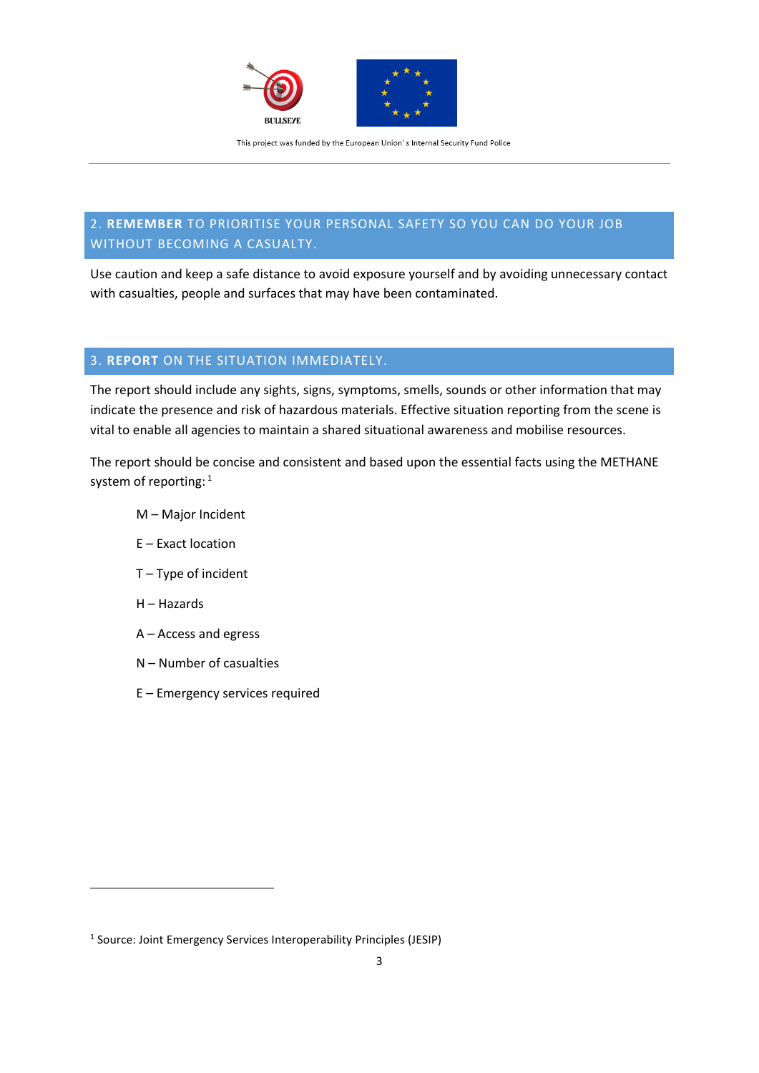

### 2. **REMEMBER** TO PRIORITISE YOUR PERSONAL SAFETY SO YOU CAN DO YOUR JOB WITHOUT BECOMING A CASUALTY.

Use caution and keep a safe distance to avoid exposure yourself and by avoiding unnecessary contact with casualties, people and surfaces that may have been contaminated.

### 3. **REPORT** ON THE SITUATION IMMEDIATELY.

The report should include any sights, signs, symptoms, smells, sounds or other information that may indicate the presence and risk of hazardous materials. Effective situation reporting from the scene is vital to enable all agencies to maintain a shared situational awareness and mobilise resources.

The report should be concise and consistent and based upon the essential facts using the METHANE system of reporting: 1

- M Major Incident
- E Exact location
- T Type of incident
- H Hazards
- A Access and egress
- N Number of casualties
- E Emergency services required

<sup>&</sup>lt;sup>1</sup> Source: Joint Emergency Services Interoperability Principles (JESIP)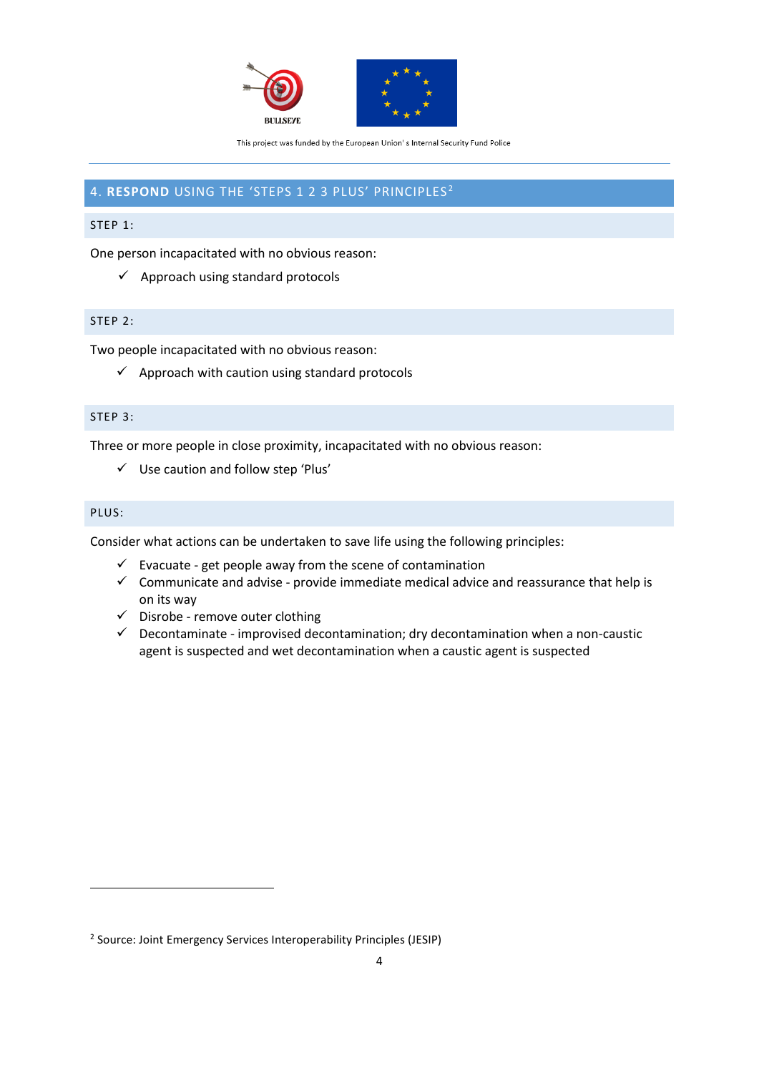

### 4. **RESPOND** USING THE 'STEPS 1 2 3 PLUS' PRINCIPLES <sup>2</sup>

### STEP 1:

One person incapacitated with no obvious reason:

 $\checkmark$  Approach using standard protocols

### STEP 2:

Two people incapacitated with no obvious reason:

 $\checkmark$  Approach with caution using standard protocols

### STEP 3:

Three or more people in close proximity, incapacitated with no obvious reason:

✓ Use caution and follow step 'Plus'

### PLUS:

Consider what actions can be undertaken to save life using the following principles:

- $\checkmark$  Evacuate get people away from the scene of contamination
- $\checkmark$  Communicate and advise provide immediate medical advice and reassurance that help is on its way
- ✓ Disrobe remove outer clothing
- $\checkmark$  Decontaminate improvised decontamination; dry decontamination when a non-caustic agent is suspected and wet decontamination when a caustic agent is suspected

<sup>2</sup> Source: Joint Emergency Services Interoperability Principles (JESIP)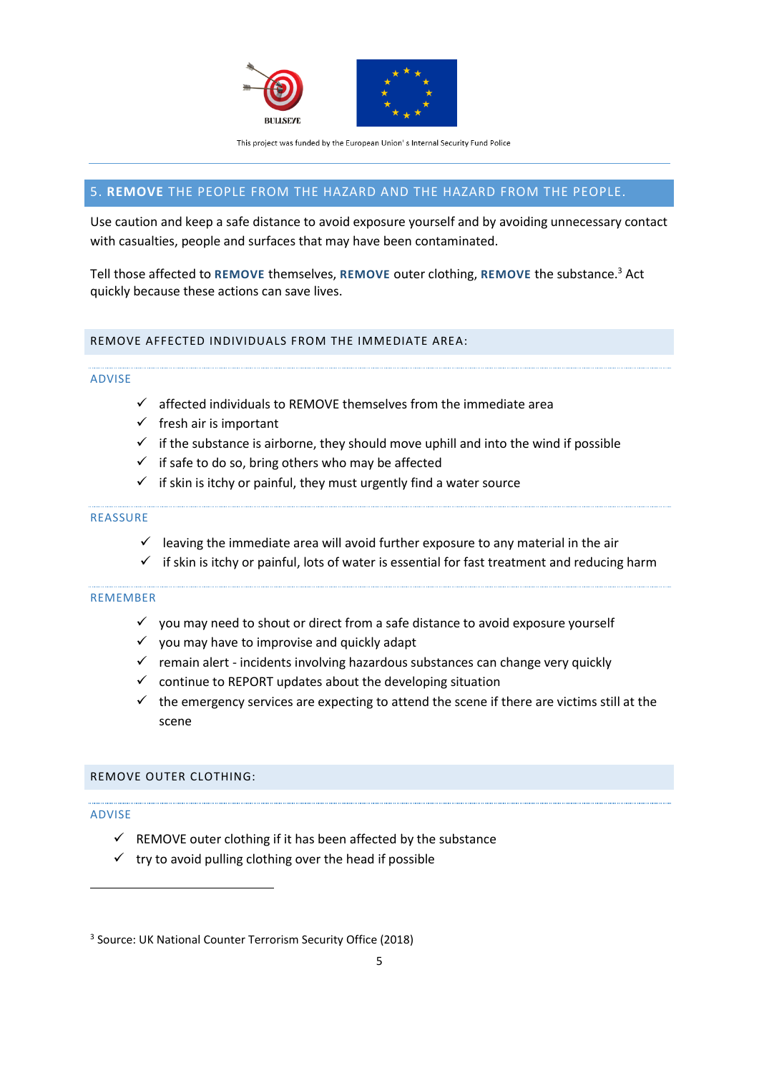

### 5. **REMOVE** THE PEOPLE FROM THE HAZARD AND THE HAZARD FROM THE PEOPLE.

Use caution and keep a safe distance to avoid exposure yourself and by avoiding unnecessary contact with casualties, people and surfaces that may have been contaminated.

Tell those affected to **REMOVE** themselves, **REMOVE** outer clothing, **REMOVE** the substance.<sup>3</sup> Act quickly because these actions can save lives.

### REMOVE AFFECTED INDIVIDUALS FROM THE IMMEDIATE AREA:

#### ADVISE

- $\checkmark$  affected individuals to REMOVE themselves from the immediate area
- $\checkmark$  fresh air is important
- $\checkmark$  if the substance is airborne, they should move uphill and into the wind if possible
- $\checkmark$  if safe to do so, bring others who may be affected
- $\checkmark$  if skin is itchy or painful, they must urgently find a water source

#### REASSURE

- $\checkmark$  leaving the immediate area will avoid further exposure to any material in the air
- $\checkmark$  if skin is itchy or painful, lots of water is essential for fast treatment and reducing harm

#### REMEMBER

- $\checkmark$  you may need to shout or direct from a safe distance to avoid exposure yourself
- $\checkmark$  you may have to improvise and quickly adapt
- $\checkmark$  remain alert incidents involving hazardous substances can change very quickly
- $\checkmark$  continue to REPORT updates about the developing situation
- $\checkmark$  the emergency services are expecting to attend the scene if there are victims still at the scene

### REMOVE OUTER CLOTHING:

### ADVISE

- $\checkmark$  REMOVE outer clothing if it has been affected by the substance
- $\checkmark$  try to avoid pulling clothing over the head if possible

<sup>3</sup> Source: UK National Counter Terrorism Security Office (2018)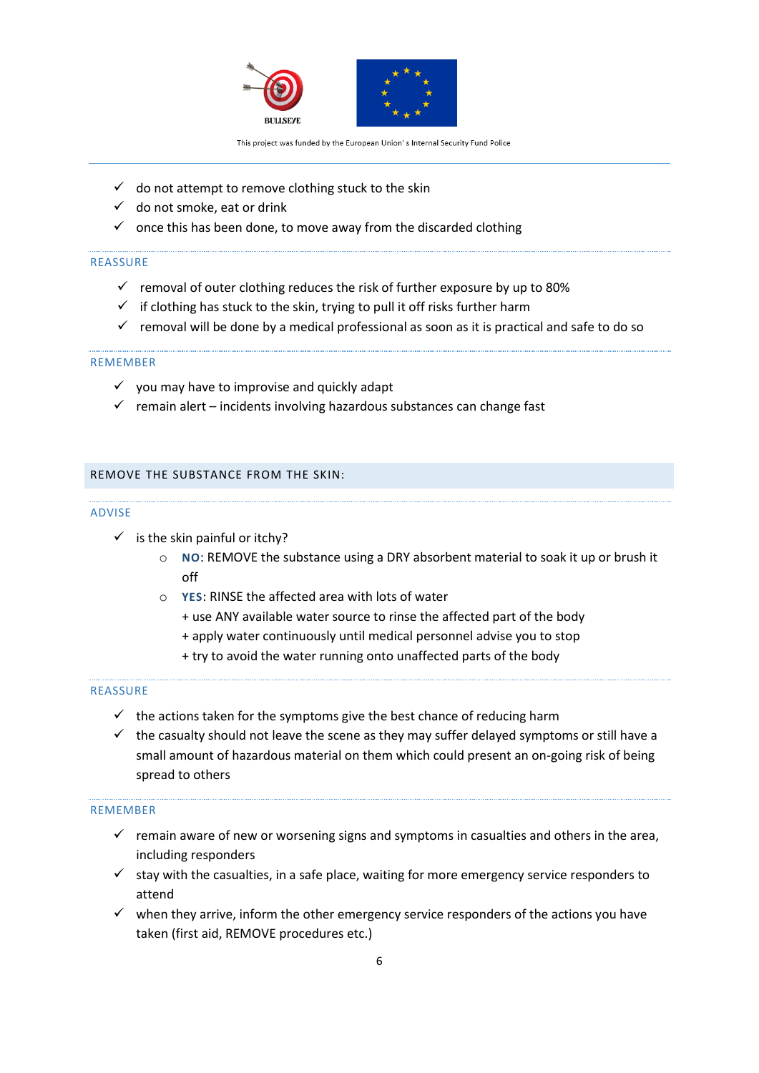

- $\checkmark$  do not attempt to remove clothing stuck to the skin
- $\checkmark$  do not smoke, eat or drink
- $\checkmark$  once this has been done, to move away from the discarded clothing

#### REASSURE

- $\checkmark$  removal of outer clothing reduces the risk of further exposure by up to 80%
- $\checkmark$  if clothing has stuck to the skin, trying to pull it off risks further harm
- $\checkmark$  removal will be done by a medical professional as soon as it is practical and safe to do so

### REMEMBER

- $\checkmark$  you may have to improvise and quickly adapt
- $\checkmark$  remain alert incidents involving hazardous substances can change fast

### REMOVE THE SUBSTANCE FROM THE SKIN:

#### ADVISE

- $\checkmark$  is the skin painful or itchy?
	- o **NO**: REMOVE the substance using a DRY absorbent material to soak it up or brush it off
	- o **YES**: RINSE the affected area with lots of water
		- + use ANY available water source to rinse the affected part of the body
		- + apply water continuously until medical personnel advise you to stop
		- + try to avoid the water running onto unaffected parts of the body

### REASSURE

- $\checkmark$  the actions taken for the symptoms give the best chance of reducing harm
- $\checkmark$  the casualty should not leave the scene as they may suffer delayed symptoms or still have a small amount of hazardous material on them which could present an on-going risk of being spread to others

### REMEMBER

- $\checkmark$  remain aware of new or worsening signs and symptoms in casualties and others in the area, including responders
- $\checkmark$  stay with the casualties, in a safe place, waiting for more emergency service responders to attend
- $\checkmark$  when they arrive, inform the other emergency service responders of the actions you have taken (first aid, REMOVE procedures etc.)